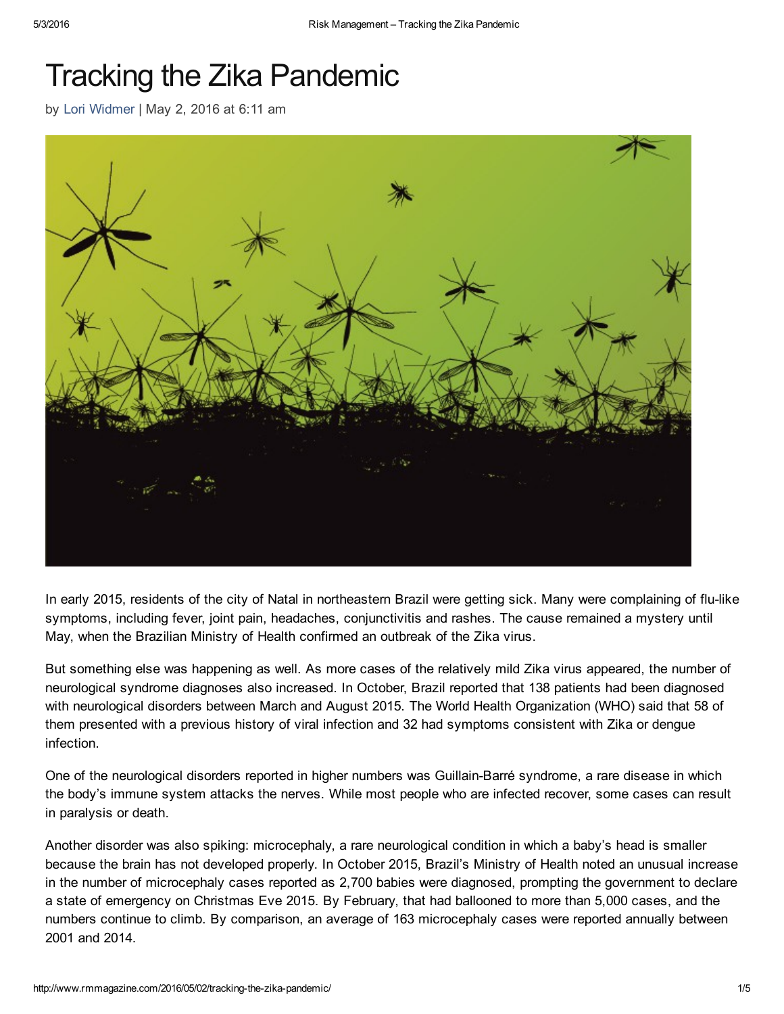# Tracking the Zika Pandemic

by Lori [Widmer](http://www.rmmagazine.com/author/lori-widmer/) | May 2, 2016 at 6:11 am



In early 2015, residents of the city of Natal in northeastern Brazil were getting sick. Many were complaining of flu-like symptoms, including fever, joint pain, headaches, conjunctivitis and rashes. The cause remained a mystery until May, when the Brazilian Ministry of Health confirmed an outbreak of the Zika virus.

But something else was happening as well. As more cases of the relatively mild Zika virus appeared, the number of neurological syndrome diagnoses also increased. In October, Brazil reported that 138 patients had been diagnosed with neurological disorders between March and August 2015. The World Health Organization (WHO) said that 58 of them presented with a previous history of viral infection and 32 had symptoms consistent with Zika or dengue infection.

One of the neurological disorders reported in higher numbers was Guillain-Barré syndrome, a rare disease in which the body's immune system attacks the nerves. While most people who are infected recover, some cases can result in paralysis or death.

Another disorder was also spiking: microcephaly, a rare neurological condition in which a baby's head is smaller because the brain has not developed properly. In October 2015, Brazil's Ministry of Health noted an unusual increase in the number of microcephaly cases reported as 2,700 babies were diagnosed, prompting the government to declare a state of emergency on Christmas Eve 2015. By February, that had ballooned to more than 5,000 cases, and the numbers continue to climb. By comparison, an average of 163 microcephaly cases were reported annually between 2001 and 2014.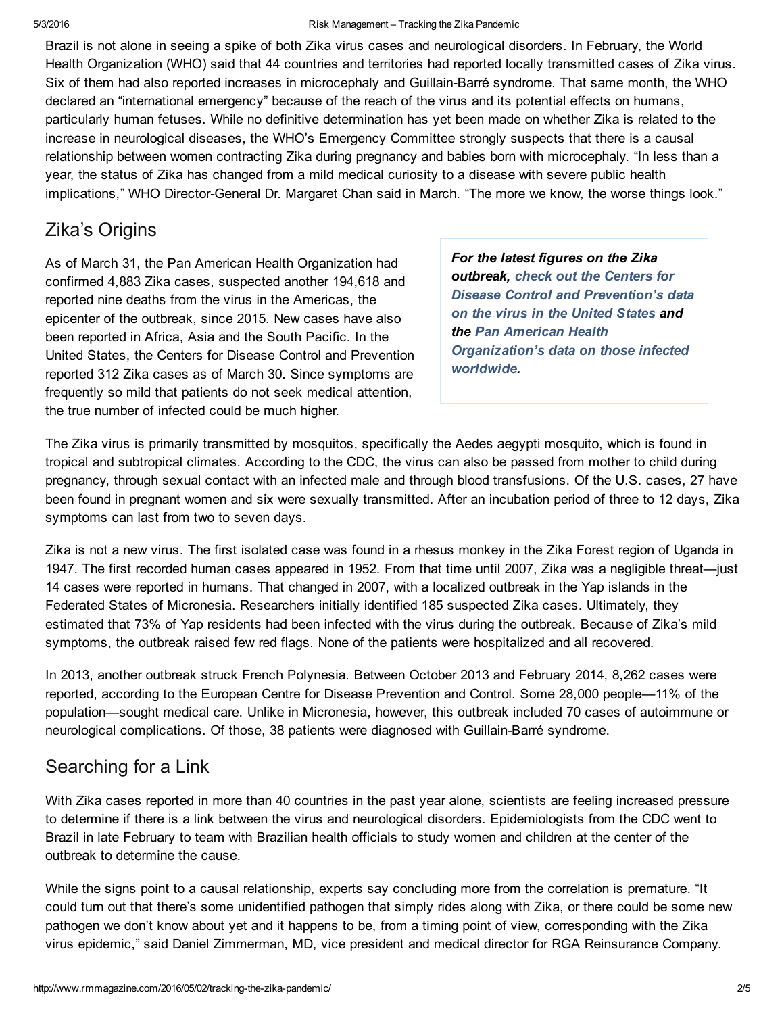#### 5/3/2016 Risk Management – Tracking the Zika Pandemic

Brazil is not alone in seeing a spike of both Zika virus cases and neurological disorders. In February, the World Health Organization (WHO) said that 44 countries and territories had reported locally transmitted cases of Zika virus. Six of them had also reported increases in microcephaly and Guillain-Barré syndrome. That same month, the WHO declared an "international emergency" because of the reach of the virus and its potential effects on humans, particularly human fetuses. While no definitive determination has yet been made on whether Zika is related to the increase in neurological diseases, the WHO's Emergency Committee strongly suspects that there is a causal relationship between women contracting Zika during pregnancy and babies born with microcephaly. "In less than a year, the status of Zika has changed from a mild medical curiosity to a disease with severe public health implications," WHO Director-General Dr. Margaret Chan said in March. "The more we know, the worse things look."

#### Zika's Origins

As of March 31, the Pan American Health Organization had confirmed 4,883 Zika cases, suspected another 194,618 and reported nine deaths from the virus in the Americas, the epicenter of the outbreak, since 2015. New cases have also been reported in Africa, Asia and the South Pacific. In the United States, the Centers for Disease Control and Prevention reported 312 Zika cases as of March 30. Since symptoms are frequently so mild that patients do not seek medical attention, the true number of infected could be much higher.

*For the latest figures on the Zika outbreak, check out the Centers for Disease Control and [Prevention's](http://www.cdc.gov/zika/geo/united-states.html) data on the virus in the United States and the Pan American Health [Organization's](http://ais.paho.org/phip/viz/ed_zika_cases.asp) data on those infected worldwide.*

The Zika virus is primarily transmitted by mosquitos, specifically the Aedes aegypti mosquito, which is found in tropical and subtropical climates. According to the CDC, the virus can also be passed from mother to child during pregnancy, through sexual contact with an infected male and through blood transfusions. Of the U.S. cases, 27 have been found in pregnant women and six were sexually transmitted. After an incubation period of three to 12 days, Zika symptoms can last from two to seven days.

Zika is not a new virus. The first isolated case was found in a rhesus monkey in the Zika Forest region of Uganda in 1947. The first recorded human cases appeared in 1952. From that time until 2007, Zika was a negligible threat—just 14 cases were reported in humans. That changed in 2007, with a localized outbreak in the Yap islands in the Federated States of Micronesia. Researchers initially identified 185 suspected Zika cases. Ultimately, they estimated that 73% of Yap residents had been infected with the virus during the outbreak. Because of Zika's mild symptoms, the outbreak raised few red flags. None of the patients were hospitalized and all recovered.

In 2013, another outbreak struck French Polynesia. Between October 2013 and February 2014, 8,262 cases were reported, according to the European Centre for Disease Prevention and Control. Some 28,000 people—11% of the population—sought medical care. Unlike in Micronesia, however, this outbreak included 70 cases of autoimmune or neurological complications. Of those, 38 patients were diagnosed with Guillain-Barré syndrome.

## Searching for a Link

With Zika cases reported in more than 40 countries in the past year alone, scientists are feeling increased pressure to determine if there is a link between the virus and neurological disorders. Epidemiologists from the CDC went to Brazil in late February to team with Brazilian health officials to study women and children at the center of the outbreak to determine the cause.

While the signs point to a causal relationship, experts say concluding more from the correlation is premature. "It could turn out that there's some unidentified pathogen that simply rides along with Zika, or there could be some new pathogen we don't know about yet and it happens to be, from a timing point of view, corresponding with the Zika virus epidemic," said Daniel Zimmerman, MD, vice president and medical director for RGA Reinsurance Company.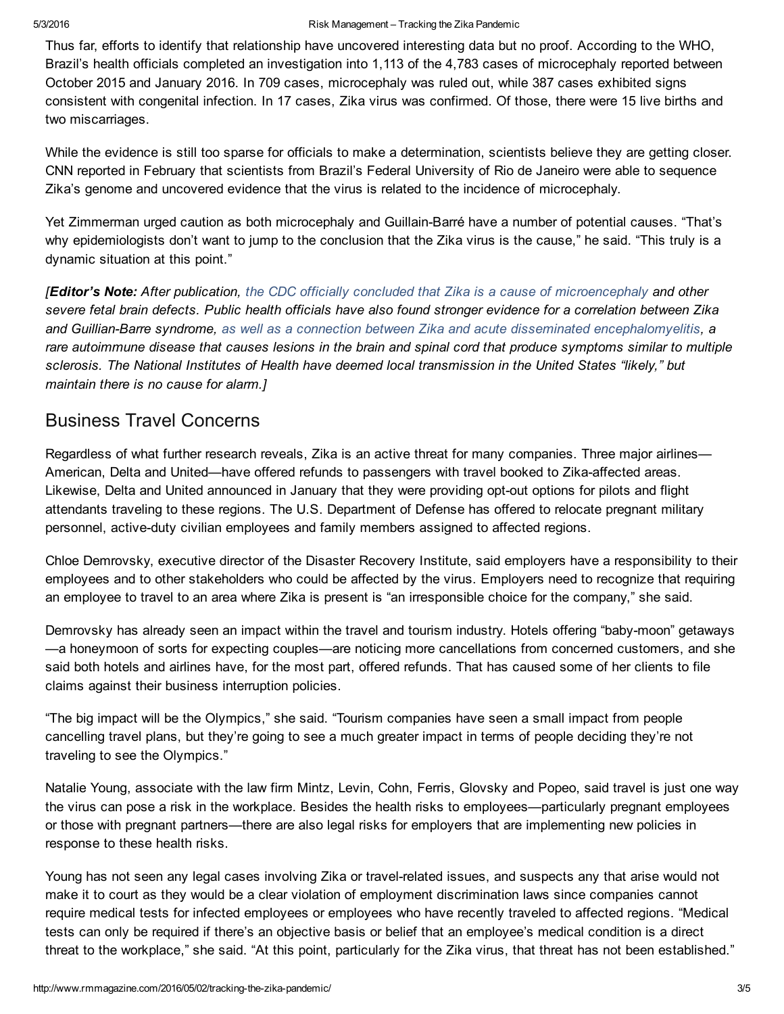Thus far, efforts to identify that relationship have uncovered interesting data but no proof. According to the WHO, Brazil's health officials completed an investigation into 1,113 of the 4,783 cases of microcephaly reported between October 2015 and January 2016. In 709 cases, microcephaly was ruled out, while 387 cases exhibited signs consistent with congenital infection. In 17 cases, Zika virus was confirmed. Of those, there were 15 live births and two miscarriages.

While the evidence is still too sparse for officials to make a determination, scientists believe they are getting closer. CNN reported in February that scientists from Brazil's Federal University of Rio de Janeiro were able to sequence Zika's genome and uncovered evidence that the virus is related to the incidence of microcephaly.

Yet Zimmerman urged caution as both microcephaly and Guillain-Barré have a number of potential causes. "That's why epidemiologists don't want to jump to the conclusion that the Zika virus is the cause," he said. "This truly is a dynamic situation at this point."

**[Editor's Note:** After publication, the CDC officially concluded that Zika is a cause of [microencephaly](http://www.cdc.gov/media/releases/2016/s0413-zika-microcephaly.html) and other severe fetal brain defects. Public health officials have also found stronger evidence for a correlation between Zika *and GuillianBarre syndrome, as well as a connection between Zika and acute disseminated [encephalomyelitis](http://in.reuters.com/article/health-zika-brain-idINKCN0X8071), a* rare autoimmune disease that causes lesions in the brain and spinal cord that produce symptoms similar to multiple *sclerosis. The National Institutes of Health have deemed local transmission in the United States "likely," but maintain there is no cause for alarm.]*

#### Business Travel Concerns

Regardless of what further research reveals, Zika is an active threat for many companies. Three major airlines— American, Delta and United—have offered refunds to passengers with travel booked to Zika-affected areas. Likewise, Delta and United announced in January that they were providing opt-out options for pilots and flight attendants traveling to these regions. The U.S. Department of Defense has offered to relocate pregnant military personnel, active-duty civilian employees and family members assigned to affected regions.

Chloe Demrovsky, executive director of the Disaster Recovery Institute, said employers have a responsibility to their employees and to other stakeholders who could be affected by the virus. Employers need to recognize that requiring an employee to travel to an area where Zika is present is "an irresponsible choice for the company," she said.

Demrovsky has already seen an impact within the travel and tourism industry. Hotels offering "baby-moon" getaways —a honeymoon of sorts for expecting couples—are noticing more cancellations from concerned customers, and she said both hotels and airlines have, for the most part, offered refunds. That has caused some of her clients to file claims against their business interruption policies.

"The big impact will be the Olympics," she said. "Tourism companies have seen a small impact from people cancelling travel plans, but they're going to see a much greater impact in terms of people deciding they're not traveling to see the Olympics."

Natalie Young, associate with the law firm Mintz, Levin, Cohn, Ferris, Glovsky and Popeo, said travel is just one way the virus can pose a risk in the workplace. Besides the health risks to employees—particularly pregnant employees or those with pregnant partners—there are also legal risks for employers that are implementing new policies in response to these health risks.

Young has not seen any legal cases involving Zika or travel-related issues, and suspects any that arise would not make it to court as they would be a clear violation of employment discrimination laws since companies cannot require medical tests for infected employees or employees who have recently traveled to affected regions. "Medical tests can only be required if there's an objective basis or belief that an employee's medical condition is a direct threat to the workplace," she said. "At this point, particularly for the Zika virus, that threat has not been established."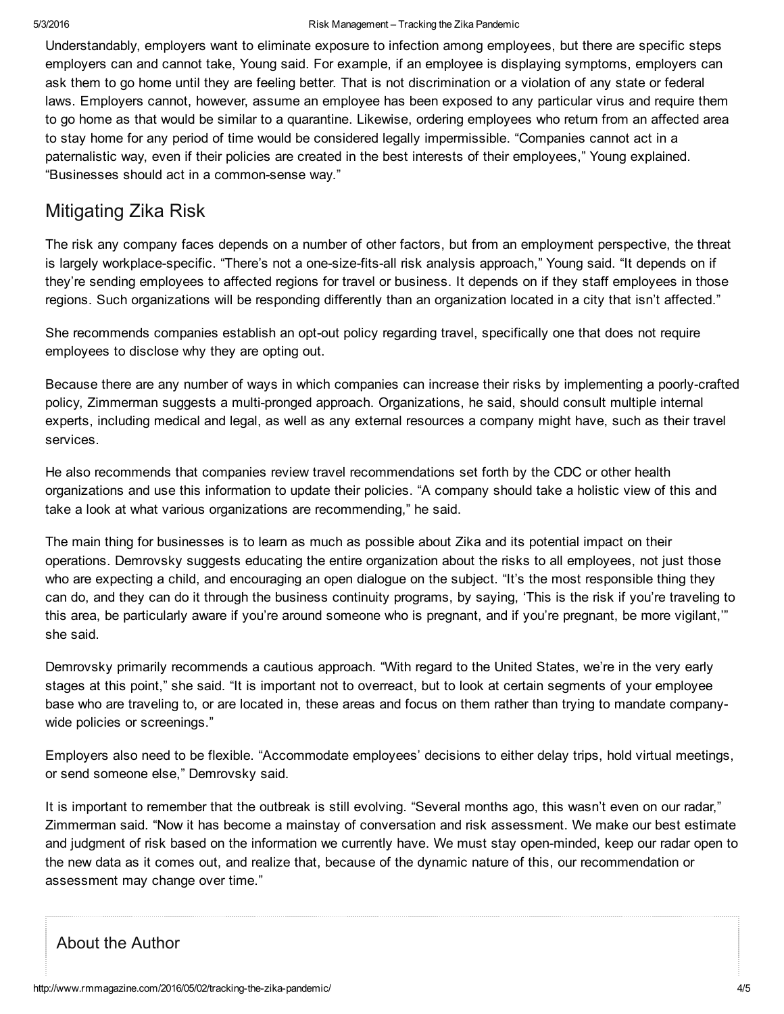Understandably, employers want to eliminate exposure to infection among employees, but there are specific steps employers can and cannot take, Young said. For example, if an employee is displaying symptoms, employers can ask them to go home until they are feeling better. That is not discrimination or a violation of any state or federal laws. Employers cannot, however, assume an employee has been exposed to any particular virus and require them to go home as that would be similar to a quarantine. Likewise, ordering employees who return from an affected area to stay home for any period of time would be considered legally impermissible. "Companies cannot act in a paternalistic way, even if their policies are created in the best interests of their employees," Young explained. "Businesses should act in a common-sense way."

### Mitigating Zika Risk

The risk any company faces depends on a number of other factors, but from an employment perspective, the threat is largely workplace-specific. "There's not a one-size-fits-all risk analysis approach," Young said. "It depends on if they're sending employees to affected regions for travel or business. It depends on if they staff employees in those regions. Such organizations will be responding differently than an organization located in a city that isn't affected."

She recommends companies establish an opt-out policy regarding travel, specifically one that does not require employees to disclose why they are opting out.

Because there are any number of ways in which companies can increase their risks by implementing a poorly-crafted policy, Zimmerman suggests a multi-pronged approach. Organizations, he said, should consult multiple internal experts, including medical and legal, as well as any external resources a company might have, such as their travel services.

He also recommends that companies review travel recommendations set forth by the CDC or other health organizations and use this information to update their policies. "A company should take a holistic view of this and take a look at what various organizations are recommending," he said.

The main thing for businesses is to learn as much as possible about Zika and its potential impact on their operations. Demrovsky suggests educating the entire organization about the risks to all employees, not just those who are expecting a child, and encouraging an open dialogue on the subject. "It's the most responsible thing they can do, and they can do it through the business continuity programs, by saying, 'This is the risk if you're traveling to this area, be particularly aware if you're around someone who is pregnant, and if you're pregnant, be more vigilant,'" she said.

Demrovsky primarily recommends a cautious approach. "With regard to the United States, we're in the very early stages at this point," she said. "It is important not to overreact, but to look at certain segments of your employee base who are traveling to, or are located in, these areas and focus on them rather than trying to mandate companywide policies or screenings."

Employers also need to be flexible. "Accommodate employees' decisions to either delay trips, hold virtual meetings, or send someone else," Demrovsky said.

It is important to remember that the outbreak is still evolving. "Several months ago, this wasn't even on our radar," Zimmerman said. "Now it has become a mainstay of conversation and risk assessment. We make our best estimate and judgment of risk based on the information we currently have. We must stay open-minded, keep our radar open to the new data as it comes out, and realize that, because of the dynamic nature of this, our recommendation or assessment may change over time."

#### About the Author